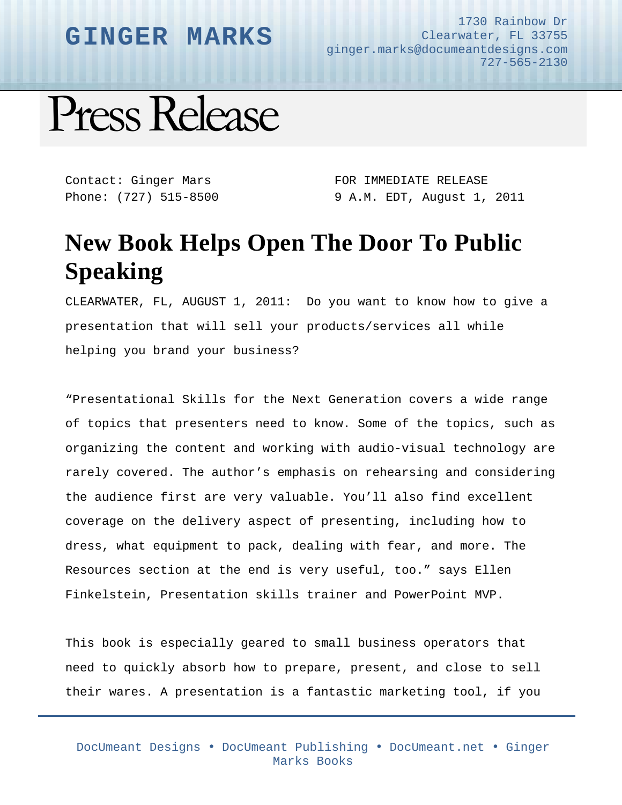## **GINGER MARKS**

1730 Rainbow Dr Clearwater, FL 33755 ginger.marks@documeantdesigns.com 727-565-2130

Press Release

Contact: Ginger Mars Phone: (727) 515-8500 FOR IMMEDIATE RELEASE 9 A.M. EDT, August 1, 2011

## **New Book Helps Open The Door To Public Speaking**

CLEARWATER, FL, AUGUST 1, 2011: Do you want to know how to give a presentation that will sell your products/services all while helping you brand your business?

"Presentational Skills for the Next Generation covers a wide range of topics that presenters need to know. Some of the topics, such as organizing the content and working with audio-visual technology are rarely covered. The author's emphasis on rehearsing and considering the audience first are very valuable. You'll also find excellent coverage on the delivery aspect of presenting, including how to dress, what equipment to pack, dealing with fear, and more. The Resources section at the end is very useful, too." says Ellen Finkelstein, Presentation skills trainer and PowerPoint MVP.

This book is especially geared to small business operators that need to quickly absorb how to prepare, present, and close to sell their wares. A presentation is a fantastic marketing tool, if you